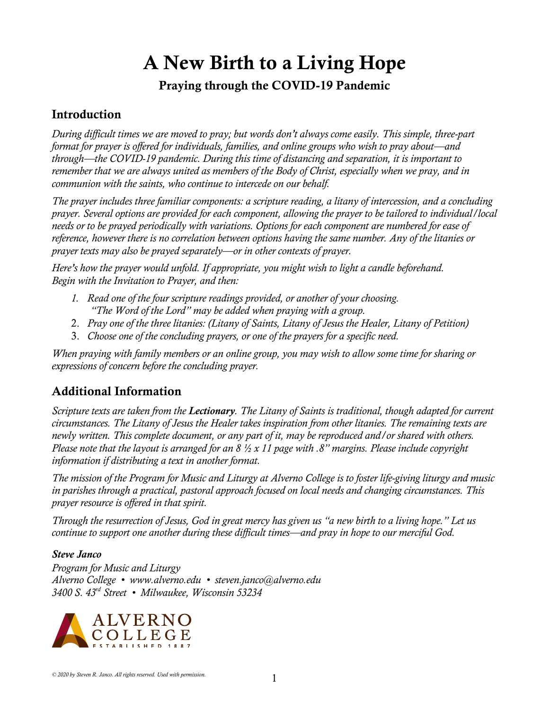# A New Birth to a Living Hope

### Praying through the COVID-19 Pandemic

### Introduction

*During difficult times we are moved to pray; but words don't always come easily. This simple, three-part format for prayer is offered for individuals, families, and online groups who wish to pray about—and through—the COVID-19 pandemic. During this time of distancing and separation, it is important to remember that we are always united as members of the Body of Christ, especially when we pray, and in communion with the saints, who continue to intercede on our behalf.* 

*The prayer includes three familiar components: a scripture reading, a litany of intercession, and a concluding prayer. Several options are provided for each component, allowing the prayer to be tailored to individual/local needs or to be prayed periodically with variations. Options for each component are numbered for ease of reference, however there is no correlation between options having the same number. Any of the litanies or prayer texts may also be prayed separately—or in other contexts of prayer.* 

*Here's how the prayer would unfold. If appropriate, you might wish to light a candle beforehand. Begin with the Invitation to Prayer, and then:*

- *1. Read one of the four scripture readings provided, or another of your choosing. "The Word of the Lord" may be added when praying with a group.*
- 2. *Pray one of the three litanies: (Litany of Saints, Litany of Jesus the Healer, Litany of Petition)*
- 3. *Choose one of the concluding prayers, or one of the prayers for a specific need.*

*When praying with family members or an online group, you may wish to allow some time for sharing or expressions of concern before the concluding prayer.* 

## Additional Information

*Scripture texts are taken from the Lectionary. The Litany of Saints is traditional, though adapted for current circumstances. The Litany of Jesus the Healer takes inspiration from other litanies. The remaining texts are newly written. This complete document, or any part of it, may be reproduced and/or shared with others. Please note that the layout is arranged for an 8 ½ x 11 page with .8" margins. Please include copyright information if distributing a text in another format.* 

*The mission of the Program for Music and Liturgy at Alverno College is to foster life-giving liturgy and music in parishes through a practical, pastoral approach focused on local needs and changing circumstances. This prayer resource is offered in that spirit.* 

*Through the resurrection of Jesus, God in great mercy has given us "a new birth to a living hope." Let us continue to support one another during these difficult times—and pray in hope to our merciful God.*

#### *Steve Janco*

*Program for Music and Liturgy Alverno College • www.alverno.edu • steven.janco@alverno.edu 3400 S. 43rd Street • Milwaukee, Wisconsin 53234*

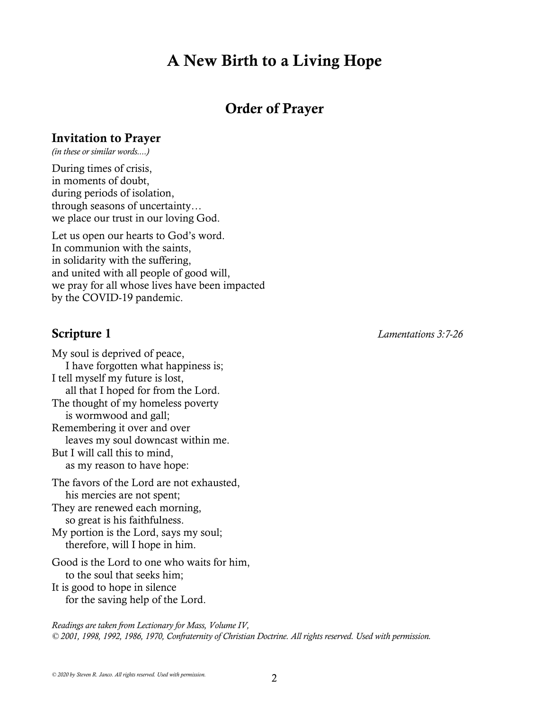# A New Birth to a Living Hope

# Order of Prayer

#### Invitation to Prayer

*(in these or similar words....)*

During times of crisis, in moments of doubt, during periods of isolation, through seasons of uncertainty… we place our trust in our loving God.

Let us open our hearts to God's word. In communion with the saints, in solidarity with the suffering, and united with all people of good will, we pray for all whose lives have been impacted by the COVID-19 pandemic.

My soul is deprived of peace, I have forgotten what happiness is; I tell myself my future is lost, all that I hoped for from the Lord. The thought of my homeless poverty is wormwood and gall; Remembering it over and over leaves my soul downcast within me. But I will call this to mind, as my reason to have hope: The favors of the Lord are not exhausted, his mercies are not spent; They are renewed each morning,

 so great is his faithfulness. My portion is the Lord, says my soul; therefore, will I hope in him.

Good is the Lord to one who waits for him, to the soul that seeks him; It is good to hope in silence

for the saving help of the Lord.

*Readings are taken from Lectionary for Mass, Volume IV, © 2001, 1998, 1992, 1986, 1970, Confraternity of Christian Doctrine. All rights reserved. Used with permission.* 

Scripture 1 *Lamentations 3:7-26*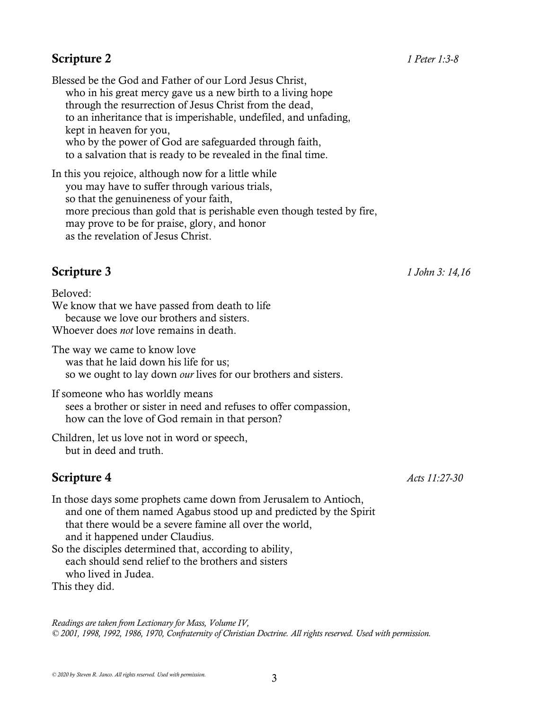Blessed be the God and Father of our Lord Jesus Christ, who in his great mercy gave us a new birth to a living hope through the resurrection of Jesus Christ from the dead, to an inheritance that is imperishable, undefiled, and unfading, kept in heaven for you, who by the power of God are safeguarded through faith, to a salvation that is ready to be revealed in the final time.

In this you rejoice, although now for a little while you may have to suffer through various trials, so that the genuineness of your faith, more precious than gold that is perishable even though tested by fire, may prove to be for praise, glory, and honor as the revelation of Jesus Christ.

Beloved: We know that we have passed from death to life because we love our brothers and sisters. Whoever does *not* love remains in death.

The way we came to know love was that he laid down his life for us; so we ought to lay down *our* lives for our brothers and sisters.

If someone who has worldly means sees a brother or sister in need and refuses to offer compassion, how can the love of God remain in that person?

Children, let us love not in word or speech, but in deed and truth.

# **Scripture 4** *Acts 11:27-30*

In those days some prophets came down from Jerusalem to Antioch, and one of them named Agabus stood up and predicted by the Spirit that there would be a severe famine all over the world, and it happened under Claudius. So the disciples determined that, according to ability, each should send relief to the brothers and sisters who lived in Judea.

This they did.

*Readings are taken from Lectionary for Mass, Volume IV, © 2001, 1998, 1992, 1986, 1970, Confraternity of Christian Doctrine. All rights reserved. Used with permission.*

Scripture 3 *1 John 3: 14,16*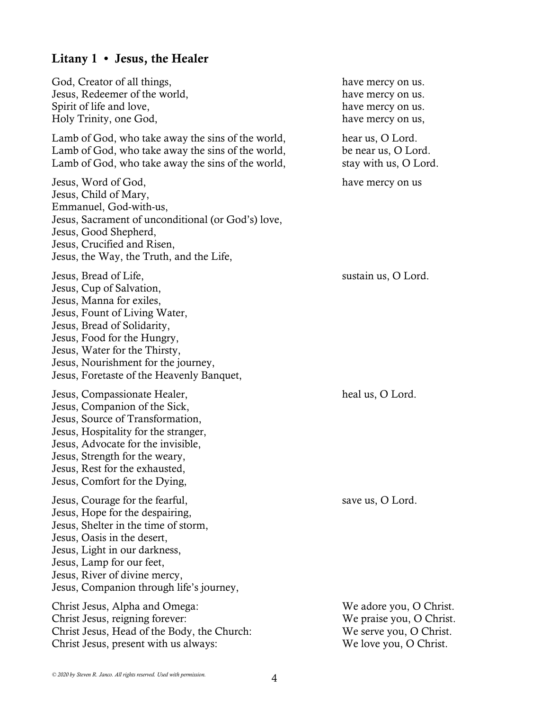# Litany 1 • Jesus, the Healer

| God, Creator of all things,<br>Jesus, Redeemer of the world,<br>Spirit of life and love,<br>Holy Trinity, one God,                                                                                                                                                                                | have mercy on us.<br>have mercy on us.<br>have mercy on us.<br>have mercy on us,                         |
|---------------------------------------------------------------------------------------------------------------------------------------------------------------------------------------------------------------------------------------------------------------------------------------------------|----------------------------------------------------------------------------------------------------------|
| Lamb of God, who take away the sins of the world,<br>Lamb of God, who take away the sins of the world,<br>Lamb of God, who take away the sins of the world,                                                                                                                                       | hear us, O Lord.<br>be near us, O Lord.<br>stay with us, O Lord.                                         |
| Jesus, Word of God,<br>Jesus, Child of Mary,<br>Emmanuel, God-with-us,<br>Jesus, Sacrament of unconditional (or God's) love,<br>Jesus, Good Shepherd,<br>Jesus, Crucified and Risen,<br>Jesus, the Way, the Truth, and the Life,                                                                  | have mercy on us                                                                                         |
| Jesus, Bread of Life,<br>Jesus, Cup of Salvation,<br>Jesus, Manna for exiles,<br>Jesus, Fount of Living Water,<br>Jesus, Bread of Solidarity,<br>Jesus, Food for the Hungry,<br>Jesus, Water for the Thirsty,<br>Jesus, Nourishment for the journey,<br>Jesus, Foretaste of the Heavenly Banquet, | sustain us, O Lord.                                                                                      |
| Jesus, Compassionate Healer,<br>Jesus, Companion of the Sick,<br>Jesus, Source of Transformation,<br>Jesus, Hospitality for the stranger,<br>Jesus, Advocate for the invisible,<br>Jesus, Strength for the weary,<br>Jesus, Rest for the exhausted,<br>Jesus, Comfort for the Dying,              | heal us, O Lord.                                                                                         |
| Jesus, Courage for the fearful,<br>Jesus, Hope for the despairing,<br>Jesus, Shelter in the time of storm,<br>Jesus, Oasis in the desert,<br>Jesus, Light in our darkness,<br>Jesus, Lamp for our feet,<br>Jesus, River of divine mercy,<br>Jesus, Companion through life's journey,              | save us, O Lord.                                                                                         |
| Christ Jesus, Alpha and Omega:<br>Christ Jesus, reigning forever:<br>Christ Jesus, Head of the Body, the Church:<br>Christ Jesus, present with us always:                                                                                                                                         | We adore you, O Christ.<br>We praise you, O Christ.<br>We serve you, O Christ.<br>We love you, O Christ. |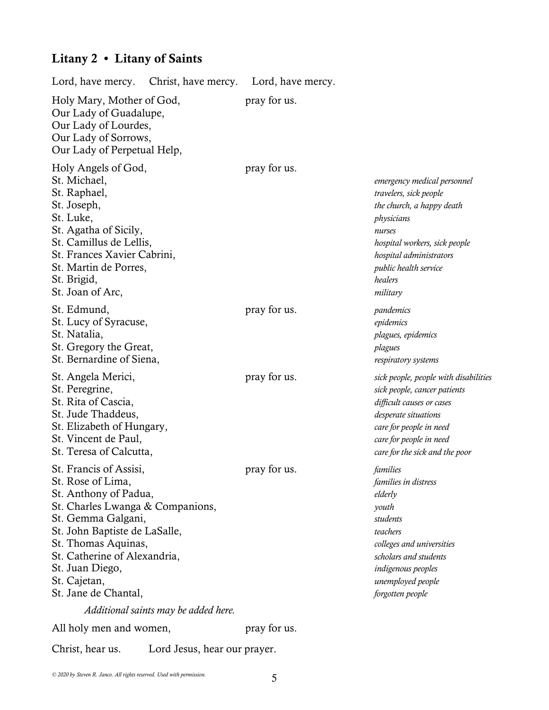# Litany 2 • Litany of Saints

| Lord, have mercy.                                                                                                                                                                                                                                                                 | Christ, have mercy.                  | Lord, have mercy. |                                                                                                                                                                                                                        |
|-----------------------------------------------------------------------------------------------------------------------------------------------------------------------------------------------------------------------------------------------------------------------------------|--------------------------------------|-------------------|------------------------------------------------------------------------------------------------------------------------------------------------------------------------------------------------------------------------|
| Holy Mary, Mother of God,<br>Our Lady of Guadalupe,<br>Our Lady of Lourdes,<br>Our Lady of Sorrows,<br>Our Lady of Perpetual Help,                                                                                                                                                |                                      | pray for us.      |                                                                                                                                                                                                                        |
| Holy Angels of God,<br>St. Michael,<br>St. Raphael,<br>St. Joseph,<br>St. Luke,<br>St. Agatha of Sicily,<br>St. Camillus de Lellis,<br>St. Frances Xavier Cabrini,<br>St. Martin de Porres,<br>St. Brigid,<br>St. Joan of Arc,                                                    |                                      | pray for us.      | emergency medical personnel<br>travelers, sick people<br>the church, a happy death<br>physicians<br>nurses<br>hospital workers, sick people<br>hospital administrators<br>public health service<br>healers<br>military |
| St. Edmund,<br>St. Lucy of Syracuse,<br>St. Natalia,<br>St. Gregory the Great,<br>St. Bernardine of Siena,                                                                                                                                                                        |                                      | pray for us.      | pandemics<br>epidemics<br>plagues, epidemics<br>plagues<br>respiratory systems                                                                                                                                         |
| St. Angela Merici,<br>St. Peregrine,<br>St. Rita of Cascia,<br>St. Jude Thaddeus,<br>St. Elizabeth of Hungary,<br>St. Vincent de Paul,<br>St. Teresa of Calcutta,                                                                                                                 |                                      | pray for us.      | sick people, people with disabilities<br>sick people, cancer patients<br>difficult causes or cases<br>desperate situations<br>care for people in need<br>care for people in need<br>care for the sick and the poor     |
| St. Francis of Assisi,<br>St. Rose of Lima,<br>St. Anthony of Padua,<br>St. Charles Lwanga & Companions,<br>St. Gemma Galgani,<br>St. John Baptiste de LaSalle,<br>St. Thomas Aquinas,<br>St. Catherine of Alexandria,<br>St. Juan Diego,<br>St. Cajetan,<br>St. Jane de Chantal, | Additional saints may be added here. | pray for us.      | families<br>families in distress<br>elderly<br>youth<br>students<br>teachers<br>colleges and universities<br>scholars and students<br>indigenous peoples<br>unemployed people<br>forgotten people                      |
| All holy men and women,                                                                                                                                                                                                                                                           |                                      | pray for us.      |                                                                                                                                                                                                                        |
| Christ, hear us.                                                                                                                                                                                                                                                                  | Lord Jesus, hear our prayer.         |                   |                                                                                                                                                                                                                        |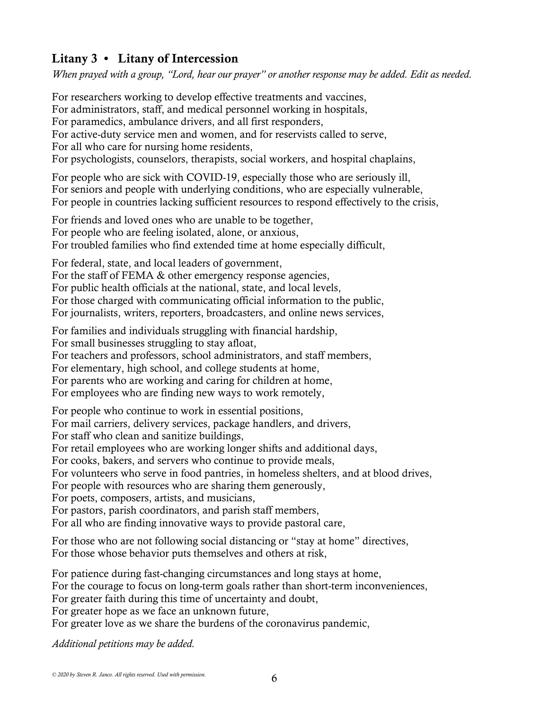#### Litany 3 • Litany of Intercession

*When prayed with a group, "Lord, hear our prayer" or another response may be added. Edit as needed.*

For researchers working to develop effective treatments and vaccines, For administrators, staff, and medical personnel working in hospitals, For paramedics, ambulance drivers, and all first responders, For active-duty service men and women, and for reservists called to serve, For all who care for nursing home residents, For psychologists, counselors, therapists, social workers, and hospital chaplains, For people who are sick with COVID-19, especially those who are seriously ill, For seniors and people with underlying conditions, who are especially vulnerable, For people in countries lacking sufficient resources to respond effectively to the crisis, For friends and loved ones who are unable to be together, For people who are feeling isolated, alone, or anxious, For troubled families who find extended time at home especially difficult, For federal, state, and local leaders of government, For the staff of FEMA & other emergency response agencies, For public health officials at the national, state, and local levels, For those charged with communicating official information to the public, For journalists, writers, reporters, broadcasters, and online news services, For families and individuals struggling with financial hardship, For small businesses struggling to stay afloat, For teachers and professors, school administrators, and staff members, For elementary, high school, and college students at home, For parents who are working and caring for children at home, For employees who are finding new ways to work remotely, For people who continue to work in essential positions, For mail carriers, delivery services, package handlers, and drivers, For staff who clean and sanitize buildings, For retail employees who are working longer shifts and additional days, For cooks, bakers, and servers who continue to provide meals, For volunteers who serve in food pantries, in homeless shelters, and at blood drives,

For people with resources who are sharing them generously,

For poets, composers, artists, and musicians,

For pastors, parish coordinators, and parish staff members,

For all who are finding innovative ways to provide pastoral care,

For those who are not following social distancing or "stay at home" directives, For those whose behavior puts themselves and others at risk,

For patience during fast-changing circumstances and long stays at home, For the courage to focus on long-term goals rather than short-term inconveniences, For greater faith during this time of uncertainty and doubt, For greater hope as we face an unknown future, For greater love as we share the burdens of the coronavirus pandemic,

*Additional petitions may be added.*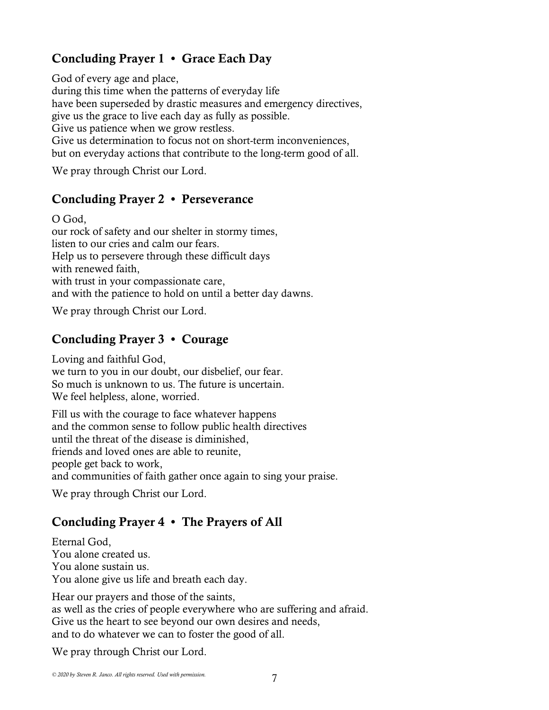### Concluding Prayer 1 • Grace Each Day

God of every age and place, during this time when the patterns of everyday life have been superseded by drastic measures and emergency directives, give us the grace to live each day as fully as possible. Give us patience when we grow restless. Give us determination to focus not on short-term inconveniences, but on everyday actions that contribute to the long-term good of all.

We pray through Christ our Lord.

#### Concluding Prayer 2 • Perseverance

O God, our rock of safety and our shelter in stormy times, listen to our cries and calm our fears. Help us to persevere through these difficult days with renewed faith, with trust in your compassionate care, and with the patience to hold on until a better day dawns.

We pray through Christ our Lord.

#### Concluding Prayer 3 • Courage

Loving and faithful God, we turn to you in our doubt, our disbelief, our fear. So much is unknown to us. The future is uncertain. We feel helpless, alone, worried.

Fill us with the courage to face whatever happens and the common sense to follow public health directives until the threat of the disease is diminished, friends and loved ones are able to reunite, people get back to work, and communities of faith gather once again to sing your praise.

We pray through Christ our Lord.

#### Concluding Prayer 4 • The Prayers of All

Eternal God, You alone created us. You alone sustain us. You alone give us life and breath each day.

Hear our prayers and those of the saints, as well as the cries of people everywhere who are suffering and afraid. Give us the heart to see beyond our own desires and needs, and to do whatever we can to foster the good of all.

We pray through Christ our Lord.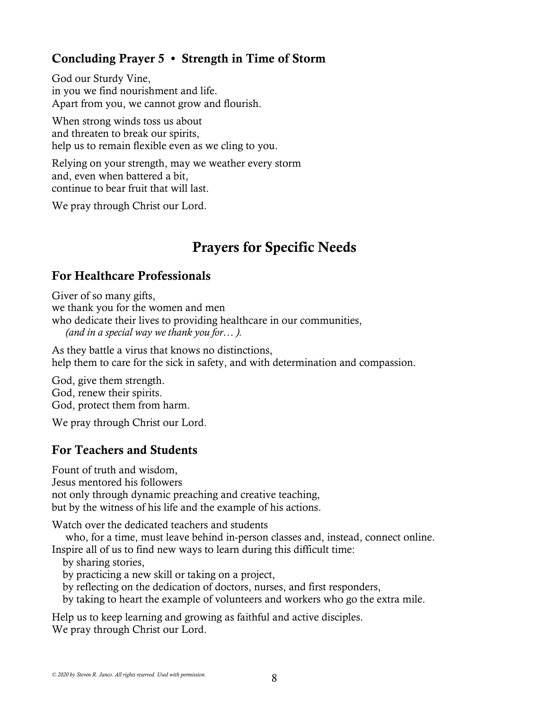#### Concluding Prayer 5 • Strength in Time of Storm

God our Sturdy Vine, in you we find nourishment and life. Apart from you, we cannot grow and flourish.

When strong winds toss us about and threaten to break our spirits, help us to remain flexible even as we cling to you.

Relying on your strength, may we weather every storm and, even when battered a bit, continue to bear fruit that will last.

We pray through Christ our Lord.

# Prayers for Specific Needs

#### For Healthcare Professionals

Giver of so many gifts, we thank you for the women and men who dedicate their lives to providing healthcare in our communities, *(and in a special way we thank you for… ).*

As they battle a virus that knows no distinctions, help them to care for the sick in safety, and with determination and compassion.

God, give them strength. God, renew their spirits. God, protect them from harm.

We pray through Christ our Lord.

#### For Teachers and Students

Fount of truth and wisdom, Jesus mentored his followers not only through dynamic preaching and creative teaching, but by the witness of his life and the example of his actions.

Watch over the dedicated teachers and students

 who, for a time, must leave behind in-person classes and, instead, connect online. Inspire all of us to find new ways to learn during this difficult time:

by sharing stories,

by practicing a new skill or taking on a project,

by reflecting on the dedication of doctors, nurses, and first responders,

by taking to heart the example of volunteers and workers who go the extra mile.

Help us to keep learning and growing as faithful and active disciples. We pray through Christ our Lord.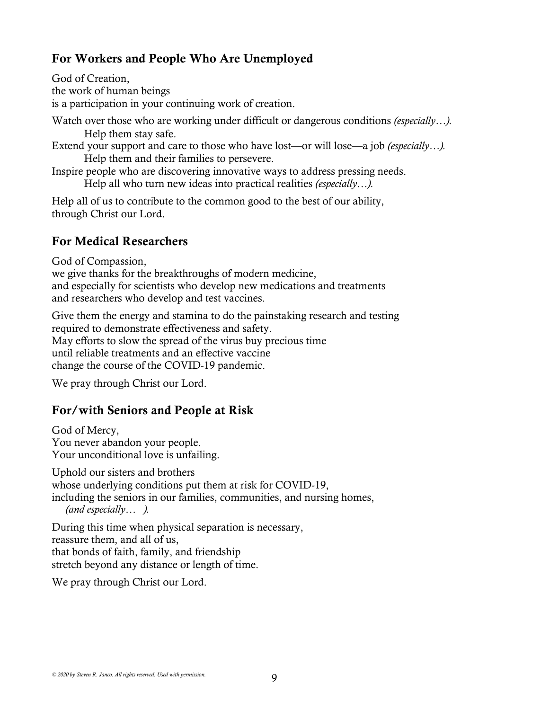#### For Workers and People Who Are Unemployed

God of Creation, the work of human beings is a participation in your continuing work of creation.

Watch over those who are working under difficult or dangerous conditions *(especially...)*. Help them stay safe.

Extend your support and care to those who have lost—or will lose—a job *(especially…).* Help them and their families to persevere.

Inspire people who are discovering innovative ways to address pressing needs.

Help all who turn new ideas into practical realities *(especially…).*

Help all of us to contribute to the common good to the best of our ability, through Christ our Lord.

#### For Medical Researchers

God of Compassion,

we give thanks for the breakthroughs of modern medicine, and especially for scientists who develop new medications and treatments and researchers who develop and test vaccines.

Give them the energy and stamina to do the painstaking research and testing required to demonstrate effectiveness and safety. May efforts to slow the spread of the virus buy precious time until reliable treatments and an effective vaccine change the course of the COVID-19 pandemic.

We pray through Christ our Lord.

#### For/with Seniors and People at Risk

God of Mercy, You never abandon your people. Your unconditional love is unfailing.

Uphold our sisters and brothers whose underlying conditions put them at risk for COVID-19, including the seniors in our families, communities, and nursing homes, *(and especially… ).*

During this time when physical separation is necessary, reassure them, and all of us, that bonds of faith, family, and friendship stretch beyond any distance or length of time.

We pray through Christ our Lord.